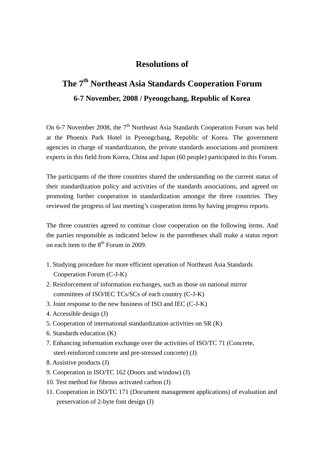## **Resolutions of**

## **The 7th Northeast Asia Standards Cooperation Forum 6-7 November, 2008 / Pyeongchang, Republic of Korea**

On 6-7 November 2008, the  $7<sup>th</sup>$  Northeast Asia Standards Cooperation Forum was held at the Phoenix Park Hotel in Pyeongchang, Republic of Korea. The government agencies in charge of standardization, the private standards associations and prominent experts in this field from Korea, China and Japan (60 people) participated in this Forum.

The participants of the three countries shared the understanding on the current status of their standardization policy and activities of the standards associations, and agreed on promoting further cooperation in standardization amongst the three countries. They reviewed the progress of last meeting's cooperation items by having progress reports.

The three countries agreed to continue close cooperation on the following items. And the parties responsible as indicated below in the parentheses shall make a status report on each item to the  $8<sup>th</sup>$  Forum in 2009.

- 1. Studying procedure for more efficient operation of Northeast Asia Standards Cooperation Forum (C-J-K)
- 2. Reinforcement of information exchanges, such as those on national mirror committees of ISO/IEC TCs/SCs of each country (C-J-K)
- 3. Joint response to the new business of ISO and IEC (C-J-K)
- 4. Accessible design (J)
- 5. Cooperation of international standardization activities on SR (K)
- 6. Standards education (K)
- 7. Enhancing information exchange over the activities of ISO/TC 71 (Concrete, steel-reinforced concrete and pre-stressed concrete) (J)
- 8. Assistive products (J)
- 9. Cooperation in ISO/TC 162 (Doors and window) (J)
- 10. Test method for fibrous activated carbon (J)
- 11. Cooperation in ISO/TC 171 (Document management applications) of evaluation and preservation of 2-byte font design (J)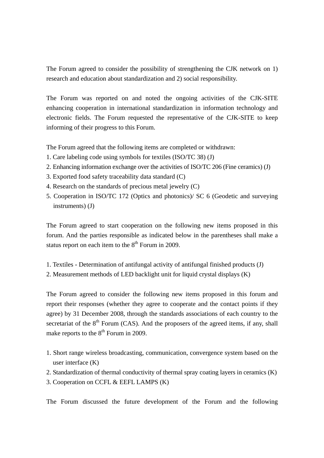The Forum agreed to consider the possibility of strengthening the CJK network on 1) research and education about standardization and 2) social responsibility.

The Forum was reported on and noted the ongoing activities of the CJK-SITE enhancing cooperation in international standardization in information technology and electronic fields. The Forum requested the representative of the CJK-SITE to keep informing of their progress to this Forum.

The Forum agreed that the following items are completed or withdrawn:

- 1. Care labeling code using symbols for textiles (ISO/TC 38) (J)
- 2. Enhancing information exchange over the activities of ISO/TC 206 (Fine ceramics) (J)
- 3. Exported food safety traceability data standard (C)
- 4. Research on the standards of precious metal jewelry (C)
- 5. Cooperation in ISO/TC 172 (Optics and photonics)/ SC 6 (Geodetic and surveying instruments) (J)

The Forum agreed to start cooperation on the following new items proposed in this forum. And the parties responsible as indicated below in the parentheses shall make a status report on each item to the  $8<sup>th</sup>$  Forum in 2009.

- 1. Textiles Determination of antifungal activity of antifungal finished products (J)
- 2. Measurement methods of LED backlight unit for liquid crystal displays (K)

The Forum agreed to consider the following new items proposed in this forum and report their responses (whether they agree to cooperate and the contact points if they agree) by 31 December 2008, through the standards associations of each country to the secretariat of the  $8<sup>th</sup>$  Forum (CAS). And the proposers of the agreed items, if any, shall make reports to the  $8<sup>th</sup>$  Forum in 2009.

- 1. Short range wireless broadcasting, communication, convergence system based on the user interface (K)
- 2. Standardization of thermal conductivity of thermal spray coating layers in ceramics (K)
- 3. Cooperation on CCFL & EEFL LAMPS (K)

The Forum discussed the future development of the Forum and the following